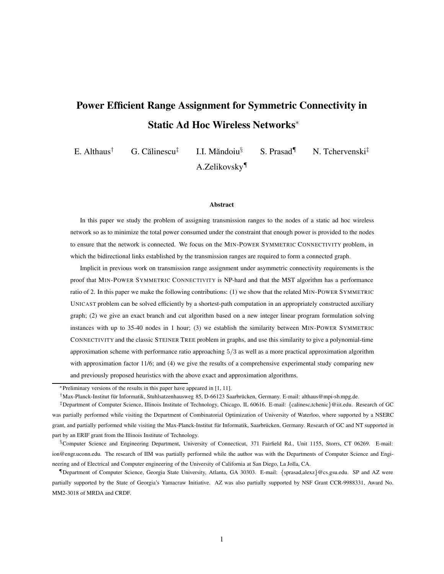# **Power Efficient Range Assignment for Symmetric Connectivity in Static Ad Hoc Wireless Networks**<sup>∗</sup>

E. Althaus*†* G. Calinescu ˘ *‡* I.I. Mandoiu ˘ *§* S. Prasad*¶* N. Tchervenski*‡* A.Zelikovsky*¶*

#### **Abstract**

In this paper we study the problem of assigning transmission ranges to the nodes of a static ad hoc wireless network so as to minimize the total power consumed under the constraint that enough power is provided to the nodes to ensure that the network is connected. We focus on the MIN-POWER SYMMETRIC CONNECTIVITY problem, in which the bidirectional links established by the transmission ranges are required to form a connected graph.

Implicit in previous work on transmission range assignment under asymmetric connectivity requirements is the proof that MIN-POWER SYMMETRIC CONNECTIVITY is NP-hard and that the MST algorithm has a performance ratio of 2. In this paper we make the following contributions: (1) we show that the related MIN-POWER SYMMETRIC UNICAST problem can be solved efficiently by a shortest-path computation in an appropriately constructed auxiliary graph; (2) we give an exact branch and cut algorithm based on a new integer linear program formulation solving instances with up to 35-40 nodes in 1 hour; (3) we establish the similarity between MIN-POWER SYMMETRIC CONNECTIVITY and the classic STEINER TREE problem in graphs, and use this similarity to give a polynomial-time approximation scheme with performance ratio approaching <sup>5</sup>*/*<sup>3</sup> as well as a more practical approximation algorithm with approximation factor 11/6; and (4) we give the results of a comprehensive experimental study comparing new and previously proposed heuristics with the above exact and approximation algorithms.

<sup>∗</sup>Preliminary versions of the results in this paper have appeared in [1, 11].

<sup>&</sup>lt;sup>†</sup>Max-Planck-Institut für Informatik, Stuhlsatzenhausweg 85, D-66123 Saarbrücken, Germany. E-mail: althaus@mpi-sb.mpg.de.

<sup>‡</sup>Department of Computer Science, Illinois Institute of Technology, Chicago, IL 60616. E-mail: *{*calinesc,tchenic*}*@iit.edu. Research of GC was partially performed while visiting the Department of Combinatorial Optimization of University of Waterloo, where supported by a NSERC grant, and partially performed while visiting the Max-Planck-Institut für Informatik, Saarbrücken, Germany. Research of GC and NT supported in part by an ERIF grant from the Illinois Institute of Technology.

<sup>§</sup>Computer Science and Engineering Department, University of Connecticut, 371 Fairfield Rd., Unit 1155, Storrs, CT 06269. E-mail: ion@engr.uconn.edu. The research of IIM was partially performed while the author was with the Departments of Computer Science and Engineering and of Electrical and Computer engineering of the University of California at San Diego, La Jolla, CA.

<sup>¶</sup>Department of Computer Science, Georgia State University, Atlanta, GA 30303. E-mail: *{*sprasad,alexz*}*@cs.gsu.edu. SP and AZ were partially supported by the State of Georgia's Yamacraw Initiative. AZ was also partially supported by NSF Grant CCR-9988331, Award No. MM2-3018 of MRDA and CRDF.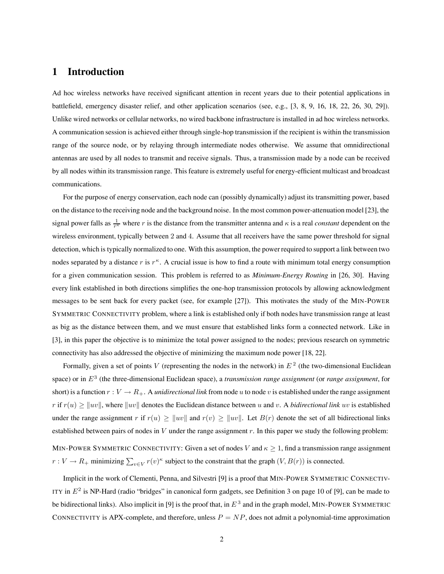## **1 Introduction**

Ad hoc wireless networks have received significant attention in recent years due to their potential applications in battlefield, emergency disaster relief, and other application scenarios (see, e.g., [3, 8, 9, 16, 18, 22, 26, 30, 29]). Unlike wired networks or cellular networks, no wired backbone infrastructure is installed in ad hoc wireless networks. A communication session is achieved either through single-hop transmission if the recipient is within the transmission range of the source node, or by relaying through intermediate nodes otherwise. We assume that omnidirectional antennas are used by all nodes to transmit and receive signals. Thus, a transmission made by a node can be received by all nodes within its transmission range. This feature is extremely useful for energy-efficient multicast and broadcast communications.

For the purpose of energy conservation, each node can (possibly dynamically) adjust its transmitting power, based on the distance to the receiving node and the background noise. In the most common power-attenuation model [23], the signal power falls as  $\frac{1}{r^k}$  where r is the distance from the transmitter antenna and  $\kappa$  is a real *constant* dependent on the wireless environment, typically between 2 and 4. Assume that all receivers have the same power threshold for signal detection, which is typically normalized to one. With this assumption, the power required to support a link between two nodes separated by a distance r is  $r^k$ . A crucial issue is how to find a route with minimum total energy consumption for a given communication session. This problem is referred to as *Minimum-Energy Routing* in [26, 30]. Having every link established in both directions simplifies the one-hop transmission protocols by allowing acknowledgment messages to be sent back for every packet (see, for example [27]). This motivates the study of the MIN-POWER SYMMETRIC CONNECTIVITY problem, where a link is established only if both nodes have transmission range at least as big as the distance between them, and we must ensure that established links form a connected network. Like in [3], in this paper the objective is to minimize the total power assigned to the nodes; previous research on symmetric connectivity has also addressed the objective of minimizing the maximum node power [18, 22].

Formally, given a set of points V (representing the nodes in the network) in  $E<sup>2</sup>$  (the two-dimensional Euclidean space) or in <sup>E</sup><sup>3</sup> (the three-dimensional Euclidean space), a *transmission range assignment* (or *range assignment*, for short) is a function  $r: V \to R_+$ . A *unidirectional link* from node u to node v is established under the range assignment r if  $r(u) \ge ||uv||$ , where  $||uv||$  denotes the Euclidean distance between u and v. A *bidirectional link* uv is established under the range assignment r if  $r(u) \ge ||uv||$  and  $r(v) \ge ||uv||$ . Let  $B(r)$  denote the set of all bidirectional links established between pairs of nodes in  $V$  under the range assignment  $r$ . In this paper we study the following problem:

MIN-POWER SYMMETRIC CONNECTIVITY: Given a set of nodes V and  $\kappa \geq 1$ , find a transmission range assignment  $r: V \to R_+$  minimizing  $\sum_{v \in V} r(v)^{\kappa}$  subject to the constraint that the graph  $(V, B(r))$  is connected.

Implicit in the work of Clementi, Penna, and Silvestri [9] is a proof that MIN-POWER SYMMETRIC CONNECTIV-ITY in  $E^2$  is NP-Hard (radio "bridges" in canonical form gadgets, see Definition 3 on page 10 of [9], can be made to be bidirectional links). Also implicit in [9] is the proof that, in  $E^3$  and in the graph model, MIN-POWER SYMMETRIC CONNECTIVITY is APX-complete, and therefore, unless  $P = NP$ , does not admit a polynomial-time approximation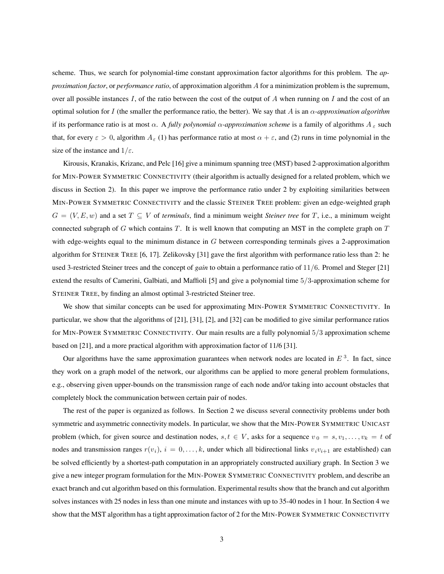scheme. Thus, we search for polynomial-time constant approximation factor algorithms for this problem. The *approximation factor*, or *performance ratio*, of approximation algorithm A for a minimization problem is the supremum, over all possible instances  $I$ , of the ratio between the cost of the output of  $A$  when running on  $I$  and the cost of an optimal solution for I (the smaller the performance ratio, the better). We say that A is an  $\alpha$ -approximation algorithm if its performance ratio is at most  $\alpha$ . A *fully polynomial*  $\alpha$ -approximation scheme is a family of algorithms  $A_{\varepsilon}$  such that, for every  $\varepsilon > 0$ , algorithm  $A_{\varepsilon}$  (1) has performance ratio at most  $\alpha + \varepsilon$ , and (2) runs in time polynomial in the size of the instance and  $1/\varepsilon$ .

Kirousis, Kranakis, Krizanc, and Pelc [16] give a minimum spanning tree (MST) based 2-approximation algorithm for MIN-POWER SYMMETRIC CONNECTIVITY (their algorithm is actually designed for a related problem, which we discuss in Section 2). In this paper we improve the performance ratio under 2 by exploiting similarities between MIN-POWER SYMMETRIC CONNECTIVITY and the classic STEINER TREE problem: given an edge-weighted graph  $G = (V, E, w)$  and a set  $T \subseteq V$  of *terminals*, find a minimum weight *Steiner tree* for T, i.e., a minimum weight connected subgraph of  $G$  which contains  $T$ . It is well known that computing an MST in the complete graph on  $T$ with edge-weights equal to the minimum distance in G between corresponding terminals gives a 2-approximation algorithm for STEINER TREE [6, 17]. Zelikovsky [31] gave the first algorithm with performance ratio less than 2: he used 3-restricted Steiner trees and the concept of *gain* to obtain a performance ratio of 11/6. Promel and Steger [21] extend the results of Camerini, Galbiati, and Maffioli [5] and give a polynomial time 5/3-approximation scheme for STEINER TREE, by finding an almost optimal 3-restricted Steiner tree.

We show that similar concepts can be used for approximating MIN-POWER SYMMETRIC CONNECTIVITY. In particular, we show that the algorithms of [21], [31], [2], and [32] can be modified to give similar performance ratios for MIN-POWER SYMMETRIC CONNECTIVITY. Our main results are a fully polynomial 5/3 approximation scheme based on [21], and a more practical algorithm with approximation factor of 11/6 [31].

Our algorithms have the same approximation guarantees when network nodes are located in  $E<sup>3</sup>$ . In fact, since they work on a graph model of the network, our algorithms can be applied to more general problem formulations, e.g., observing given upper-bounds on the transmission range of each node and/or taking into account obstacles that completely block the communication between certain pair of nodes.

The rest of the paper is organized as follows. In Section 2 we discuss several connectivity problems under both symmetric and asymmetric connectivity models. In particular, we show that the MIN-POWER SYMMETRIC UNICAST problem (which, for given source and destination nodes,  $s, t \in V$ , asks for a sequence  $v_0 = s, v_1, \ldots, v_k = t$  of nodes and transmission ranges  $r(v_i)$ ,  $i = 0, \ldots, k$ , under which all bidirectional links  $v_i v_{i+1}$  are established) can be solved efficiently by a shortest-path computation in an appropriately constructed auxiliary graph. In Section 3 we give a new integer program formulation for the MIN-POWER SYMMETRIC CONNECTIVITY problem, and describe an exact branch and cut algorithm based on this formulation. Experimental results show that the branch and cut algorithm solves instances with 25 nodes in less than one minute and instances with up to 35-40 nodes in 1 hour. In Section 4 we show that the MST algorithm has a tight approximation factor of 2 for the MIN-POWER SYMMETRIC CONNECTIVITY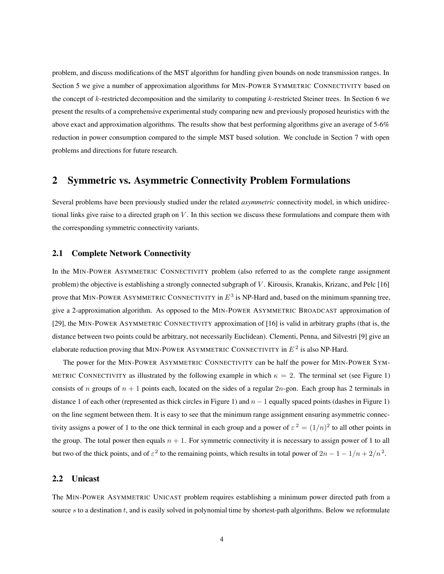problem, and discuss modifications of the MST algorithm for handling given bounds on node transmission ranges. In Section 5 we give a number of approximation algorithms for MIN-POWER SYMMETRIC CONNECTIVITY based on the concept of k-restricted decomposition and the similarity to computing k-restricted Steiner trees. In Section 6 we present the results of a comprehensive experimental study comparing new and previously proposed heuristics with the above exact and approximation algorithms. The results show that best performing algorithms give an average of 5-6% reduction in power consumption compared to the simple MST based solution. We conclude in Section 7 with open problems and directions for future research.

### **2 Symmetric vs. Asymmetric Connectivity Problem Formulations**

Several problems have been previously studied under the related *asymmetric* connectivity model, in which unidirectional links give raise to a directed graph on  $V$ . In this section we discuss these formulations and compare them with the corresponding symmetric connectivity variants.

### **2.1 Complete Network Connectivity**

In the MIN-POWER ASYMMETRIC CONNECTIVITY problem (also referred to as the complete range assignment problem) the objective is establishing a strongly connected subgraph of V . Kirousis, Kranakis, Krizanc, and Pelc [16] prove that MIN-POWER ASYMMETRIC CONNECTIVITY in  $E<sup>3</sup>$  is NP-Hard and, based on the minimum spanning tree, give a 2-approximation algorithm. As opposed to the MIN-POWER ASYMMETRIC BROADCAST approximation of [29], the MIN-POWER ASYMMETRIC CONNECTIVITY approximation of [16] is valid in arbitrary graphs (that is, the distance between two points could be arbitrary, not necessarily Euclidean). Clementi, Penna, and Silvestri [9] give an elaborate reduction proving that MIN-POWER ASYMMETRIC CONNECTIVITY in  $E^2$  is also NP-Hard.

The power for the MIN-POWER ASYMMETRIC CONNECTIVITY can be half the power for MIN-POWER SYM-METRIC CONNECTIVITY as illustrated by the following example in which  $\kappa = 2$ . The terminal set (see Figure 1) consists of n groups of  $n + 1$  points each, located on the sides of a regular  $2n$ -gon. Each group has 2 terminals in distance 1 of each other (represented as thick circles in Figure 1) and  $n - 1$  equally spaced points (dashes in Figure 1) on the line segment between them. It is easy to see that the minimum range assignment ensuring asymmetric connectivity assigns a power of 1 to the one thick terminal in each group and a power of  $\varepsilon^2 = (1/n)^2$  to all other points in the group. The total power then equals  $n + 1$ . For symmetric connectivity it is necessary to assign power of 1 to all but two of the thick points, and of  $\varepsilon^2$  to the remaining points, which results in total power of  $2n - 1 - 1/n + 2/n^2$ .

### **2.2 Unicast**

The MIN-POWER ASYMMETRIC UNICAST problem requires establishing a minimum power directed path from a source  $s$  to a destination  $t$ , and is easily solved in polynomial time by shortest-path algorithms. Below we reformulate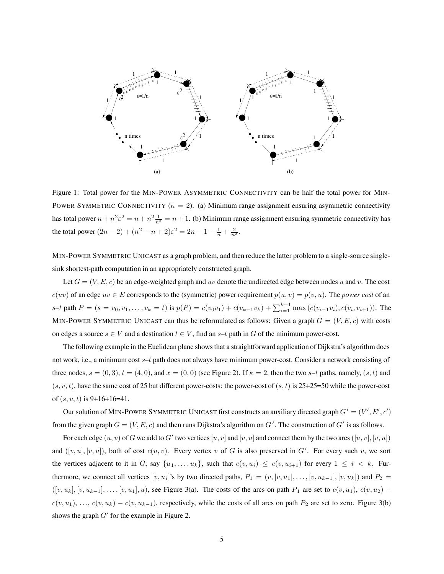

Figure 1: Total power for the MIN-POWER ASYMMETRIC CONNECTIVITY can be half the total power for MIN-POWER SYMMETRIC CONNECTIVITY ( $\kappa = 2$ ). (a) Minimum range assignment ensuring asymmetric connectivity has total power  $n + n^2 \varepsilon^2 = n + n^2 \frac{1}{n^2} = n + 1$ . (b) Minimum range assignment ensuring symmetric connectivity has the total power  $(2n - 2) + (n^2 - n + 2)\varepsilon^2 = 2n - 1 - \frac{1}{n} + \frac{2}{n^2}$ .

MIN-POWER SYMMETRIC UNICAST as a graph problem, and then reduce the latter problem to a single-source singlesink shortest-path computation in an appropriately constructed graph.

Let  $G = (V, E, c)$  be an edge-weighted graph and uv denote the undirected edge between nodes u and v. The cost  $c(uv)$  of an edge  $uv \in E$  corresponds to the (symmetric) power requirement  $p(u, v) = p(v, u)$ . The *power cost* of an s–t path  $P = (s = v_0, v_1, \ldots, v_k = t)$  is  $p(P) = c(v_0v_1) + c(v_{k-1}v_k) + \sum_{i=1}^{k-1} \max(c(v_{i-1}v_i), c(v_i, v_{i+1}))$ . The MIN-POWER SYMMETRIC UNICAST can thus be reformulated as follows: Given a graph  $G = (V, E, c)$  with costs on edges a source  $s \in V$  and a destination  $t \in V$ , find an  $s-t$  path in G of the minimum power-cost.

The following example in the Euclidean plane shows that a straightforward application of Dijkstra's algorithm does not work, i.e., a minimum cost s–t path does not always have minimum power-cost. Consider a network consisting of three nodes,  $s = (0, 3)$ ,  $t = (4, 0)$ , and  $x = (0, 0)$  (see Figure 2). If  $\kappa = 2$ , then the two s-t paths, namely,  $(s, t)$  and  $(s, v, t)$ , have the same cost of 25 but different power-costs: the power-cost of  $(s, t)$  is 25+25=50 while the power-cost of  $(s, v, t)$  is 9+16+16=41.

Our solution of MIN-POWER SYMMETRIC UNICAST first constructs an auxiliary directed graph  $G' = (V', E', c')$ from the given graph  $G = (V, E, c)$  and then runs Dijkstra's algorithm on  $G'$ . The construction of  $G'$  is as follows.

For each edge  $(u, v)$  of G we add to G' two vertices  $[u, v]$  and  $[v, u]$  and connect them by the two arcs  $([u, v], [v, u])$ and  $([v, u], [v, u])$ , both of cost  $c(u, v)$ . Every vertex v of G is also preserved in G'. For every such v, we sort the vertices adjacent to it in G, say  $\{u_1, \ldots, u_k\}$ , such that  $c(v, u_i) \leq c(v, u_{i+1})$  for every  $1 \leq i \leq k$ . Furthermore, we connect all vertices  $[v, u_i]$ 's by two directed paths,  $P_1 = (v, [v, u_1], \ldots, [v, u_{k-1}], [v, u_k])$  and  $P_2 =$  $([v, u_k], [v, u_{k-1}], \ldots, [v, u_1], u)$ , see Figure 3(a). The costs of the arcs on path  $P_1$  are set to  $c(v, u_1), c(v, u_2)$  –  $c(v, u_1), \ldots, c(v, u_k) - c(v, u_{k-1})$ , respectively, while the costs of all arcs on path  $P_2$  are set to zero. Figure 3(b) shows the graph  $G'$  for the example in Figure 2.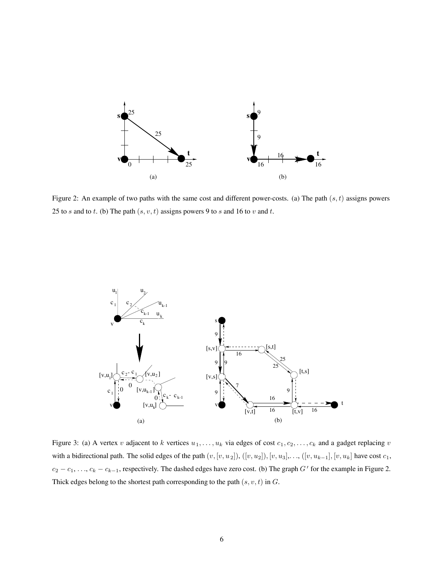

Figure 2: An example of two paths with the same cost and different power-costs. (a) The path  $(s, t)$  assigns powers 25 to s and to t. (b) The path  $(s, v, t)$  assigns powers 9 to s and 16 to v and t.



Figure 3: (a) A vertex v adjacent to k vertices  $u_1, \ldots, u_k$  via edges of cost  $c_1, c_2, \ldots, c_k$  and a gadget replacing v with a bidirectional path. The solid edges of the path  $(v, [v, u_2]), ([v, u_2]), [v, u_3], \ldots, ([v, u_{k-1}], [v, u_k]$  have cost  $c_1$ ,  $c_2 - c_1, \ldots, c_k - c_{k-1}$ , respectively. The dashed edges have zero cost. (b) The graph  $G'$  for the example in Figure 2. Thick edges belong to the shortest path corresponding to the path  $(s, v, t)$  in  $G$ .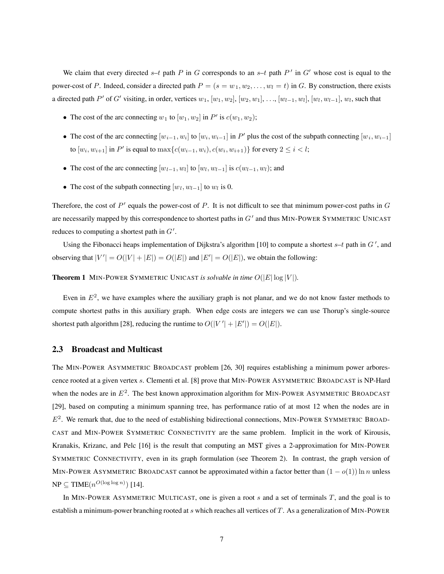We claim that every directed  $s-t$  path P in G corresponds to an  $s-t$  path P' in G' whose cost is equal to the power-cost of P. Indeed, consider a directed path  $P = (s = w_1, w_2, \dots, w_l = t)$  in G. By construction, there exists a directed path P' of G' visiting, in order, vertices  $w_1$ ,  $[w_1, w_2]$ ,  $[w_2, w_1]$ , ...,  $[w_{l-1}, w_l]$ ,  $[w_l, w_{l-1}]$ ,  $w_l$ , such that

- The cost of the arc connecting  $w_1$  to  $[w_1, w_2]$  in  $P'$  is  $c(w_1, w_2)$ ;
- The cost of the arc connecting  $[w_{i-1}, w_i]$  to  $[w_i, w_{i-1}]$  in P' plus the cost of the subpath connecting  $[w_i, w_{i-1}]$ to  $[w_i, w_{i+1}]$  in  $P'$  is equal to  $\max\{c(w_{i-1}, w_i), c(w_i, w_{i+1})\}$  for every  $2 \le i < l$ ;
- The cost of the arc connecting  $[w_{l-1}, w_l]$  to  $[w_l, w_{l-1}]$  is  $c(w_{l-1}, w_l)$ ; and
- The cost of the subpath connecting  $[w_l, w_{l-1}]$  to  $w_l$  is 0.

Therefore, the cost of  $P'$  equals the power-cost of P. It is not difficult to see that minimum power-cost paths in  $G$ are necessarily mapped by this correspondence to shortest paths in  $G'$  and thus MIN-POWER SYMMETRIC UNICAST reduces to computing a shortest path in  $G'$ .

Using the Fibonacci heaps implementation of Dijkstra's algorithm [10] to compute a shortest  $s-t$  path in  $G'$ , and observing that  $|V'| = O(|V| + |E|) = O(|E|)$  and  $|E'| = O(|E|)$ , we obtain the following:

### **Theorem 1** MIN-POWER SYMMETRIC UNICAST *is solvable in time*  $O(|E|\log |V|)$ *.*

Even in  $E^2$ , we have examples where the auxiliary graph is not planar, and we do not know faster methods to compute shortest paths in this auxiliary graph. When edge costs are integers we can use Thorup's single-source shortest path algorithm [28], reducing the runtime to  $O(|V'| + |E'|) = O(|E|)$ .

### **2.3 Broadcast and Multicast**

The MIN-POWER ASYMMETRIC BROADCAST problem [26, 30] requires establishing a minimum power arborescence rooted at a given vertex <sup>s</sup>. Clementi et al. [8] prove that MIN-POWER ASYMMETRIC BROADCAST is NP-Hard when the nodes are in  $E^2$ . The best known approximation algorithm for MIN-POWER ASYMMETRIC BROADCAST [29], based on computing a minimum spanning tree, has performance ratio of at most 12 when the nodes are in  $E<sup>2</sup>$ . We remark that, due to the need of establishing bidirectional connections, MIN-POWER SYMMETRIC BROAD-CAST and MIN-POWER SYMMETRIC CONNECTIVITY are the same problem. Implicit in the work of Kirousis, Kranakis, Krizanc, and Pelc [16] is the result that computing an MST gives a 2-approximation for MIN-POWER SYMMETRIC CONNECTIVITY, even in its graph formulation (see Theorem 2). In contrast, the graph version of MIN-POWER ASYMMETRIC BROADCAST cannot be approximated within a factor better than  $(1 - o(1)) \ln n$  unless  $NP \subseteq TIME(n^{O(\log \log n)})$  [14].

In MIN-POWER ASYMMETRIC MULTICAST, one is given a root  $s$  and a set of terminals  $T$ , and the goal is to establish a minimum-power branching rooted at  $s$  which reaches all vertices of  $T$ . As a generalization of MIN-POWER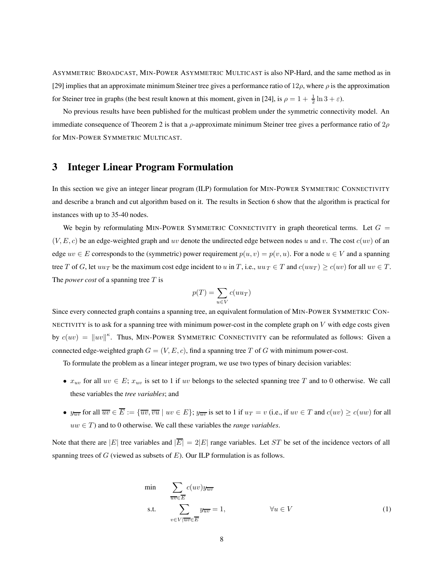ASYMMETRIC BROADCAST, MIN-POWER ASYMMETRIC MULTICAST is also NP-Hard, and the same method as in [29] implies that an approximate minimum Steiner tree gives a performance ratio of  $12\rho$ , where  $\rho$  is the approximation for Steiner tree in graphs (the best result known at this moment, given in [24], is  $\rho = 1 + \frac{1}{2} \ln 3 + \varepsilon$ ).

No previous results have been published for the multicast problem under the symmetric connectivity model. An immediate consequence of Theorem 2 is that a  $\rho$ -approximate minimum Steiner tree gives a performance ratio of  $2\rho$ for MIN-POWER SYMMETRIC MULTICAST.

## **3 Integer Linear Program Formulation**

In this section we give an integer linear program (ILP) formulation for MIN-POWER SYMMETRIC CONNECTIVITY and describe a branch and cut algorithm based on it. The results in Section 6 show that the algorithm is practical for instances with up to 35-40 nodes.

We begin by reformulating MIN-POWER SYMMETRIC CONNECTIVITY in graph theoretical terms. Let  $G =$  $(V, E, c)$  be an edge-weighted graph and uv denote the undirected edge between nodes u and v. The cost  $c(uv)$  of an edge  $uv \in E$  corresponds to the (symmetric) power requirement  $p(u, v) = p(v, u)$ . For a node  $u \in V$  and a spanning tree T of G, let  $uu_T$  be the maximum cost edge incident to u in T, i.e.,  $uu_T \in T$  and  $c(uu_T) \geq c(uv)$  for all  $uv \in T$ . The *power cost* of a spanning tree T is

$$
p(T) = \sum_{u \in V} c(uu_T)
$$

Since every connected graph contains a spanning tree, an equivalent formulation of MIN-POWER SYMMETRIC CON-NECTIVITY is to ask for a spanning tree with minimum power-cost in the complete graph on V with edge costs given by  $c(uv) = ||uv||^{\kappa}$ . Thus, MIN-POWER SYMMETRIC CONNECTIVITY can be reformulated as follows: Given a connected edge-weighted graph  $G = (V, E, c)$ , find a spanning tree T of G with minimum power-cost.

To formulate the problem as a linear integer program, we use two types of binary decision variables:

- $x_{uv}$  for all  $uv \in E$ ;  $x_{uv}$  is set to 1 if uv belongs to the selected spanning tree T and to 0 otherwise. We call these variables the *tree variables*; and
- $y_{\overline{uv}}$  for all  $\overline{uv} \in \overline{E} := {\overline{uv}, \overline{vu} \mid uv \in E}$ ;  $y_{\overline{uv}}$  is set to 1 if  $u_T = v$  (i.e., if  $uv \in T$  and  $c(uv) \ge c(uw)$  for all  $uw \in T$  and to 0 otherwise. We call these variables the *range variables*.

Note that there are |E| tree variables and  $|\overline{E}| = 2|E|$  range variables. Let ST be set of the incidence vectors of all spanning trees of  $G$  (viewed as subsets of  $E$ ). Our ILP formulation is as follows.

$$
\min \sum_{uv \in E} c(uv)y_{\overline{uv}} \\
\text{s.t.} \sum_{v \in V | \overline{uv} \in \overline{E}} y_{\overline{uv}} = 1, \qquad \forall u \in V\n\tag{1}
$$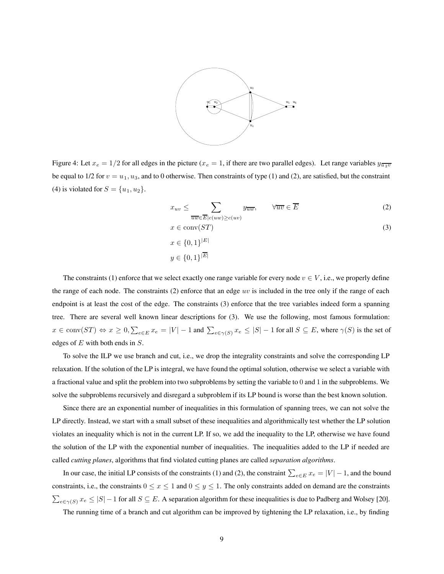

Figure 4: Let  $x_e = 1/2$  for all edges in the picture ( $x_e = 1$ , if there are two parallel edges). Let range variables  $y_{\overline{u_2v}}$ be equal to 1/2 for  $v = u_1, u_3$ , and to 0 otherwise. Then constraints of type (1) and (2), are satisfied, but the constraint (4) is violated for  $S = \{u_1, u_2\}.$ 

$$
x_{uv} \le \sum_{\overline{uw} \in \overline{E}|c(uw) \ge c(uv)} y_{\overline{uw}}, \qquad \forall \overline{uv} \in \overline{E}
$$
 (2)

$$
x \in \text{conv}(ST)
$$
  
\n
$$
x \in \{0, 1\}^{|E|}
$$
  
\n
$$
y \in \{0, 1\}^{|E|}
$$

The constraints (1) enforce that we select exactly one range variable for every node  $v \in V$ , i.e., we properly define the range of each node. The constraints (2) enforce that an edge  $uv$  is included in the tree only if the range of each endpoint is at least the cost of the edge. The constraints (3) enforce that the tree variables indeed form a spanning tree. There are several well known linear descriptions for (3). We use the following, most famous formulation:  $x \in \text{conv}(ST) \Leftrightarrow x \ge 0, \sum_{e \in E} x_e = |V| - 1$  and  $\sum_{e \in \gamma(S)} x_e \le |S| - 1$  for all  $S \subseteq E$ , where  $\gamma(S)$  is the set of edges of  $E$  with both ends in  $S$ .

To solve the ILP we use branch and cut, i.e., we drop the integrality constraints and solve the corresponding LP relaxation. If the solution of the LP is integral, we have found the optimal solution, otherwise we select a variable with a fractional value and split the problem into two subproblems by setting the variable to 0 and 1 in the subproblems. We solve the subproblems recursively and disregard a subproblem if its LP bound is worse than the best known solution.

Since there are an exponential number of inequalities in this formulation of spanning trees, we can not solve the LP directly. Instead, we start with a small subset of these inequalities and algorithmically test whether the LP solution violates an inequality which is not in the current LP. If so, we add the inequality to the LP, otherwise we have found the solution of the LP with the exponential number of inequalities. The inequalities added to the LP if needed are called *cutting planes*, algorithms that find violated cutting planes are called *separation algorithms*.

In our case, the initial LP consists of the constraints (1) and (2), the constraint  $\sum_{e \in E} x_e = |V| - 1$ , and the bound constraints, i.e., the constraints  $0 \le x \le 1$  and  $0 \le y \le 1$ . The only constraints added on demand are the constraints  $\sum_{e \in \gamma(S)} x_e \le |S| - 1$  for all  $S \subseteq E$ . A separation algorithm for these inequalities is due to Padberg and Wolsey [20].

The running time of a branch and cut algorithm can be improved by tightening the LP relaxation, i.e., by finding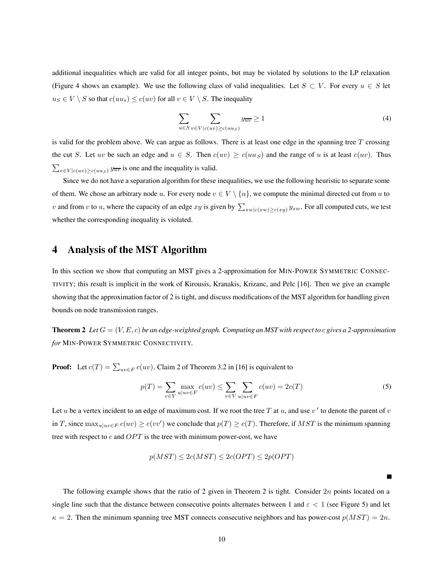additional inequalities which are valid for all integer points, but may be violated by solutions to the LP relaxation (Figure 4 shows an example). We use the following class of valid inequalities. Let  $S \subset V$ . For every  $u \in S$  let  $u_S \in V \setminus S$  so that  $c(uu_s) \leq c(uv)$  for all  $v \in V \setminus S$ . The inequality

$$
\sum_{u \in S} \sum_{v \in V | c(uv) \ge c(uus)} y_{\overline{uv}} \ge 1
$$
\n(4)

is valid for the problem above. We can argue as follows. There is at least one edge in the spanning tree  $T$  crossing the cut S. Let uv be such an edge and  $u \in S$ . Then  $c(uv) \ge c(uu s)$  and the range of u is at least  $c(uv)$ . Thus  $\sum_{v \in V | c(uv) \ge c(uu_S)} y_{\overline{uv}}$  is one and the inequality is valid.

Since we do not have a separation algorithm for these inequalities, we use the following heuristic to separate some of them. We chose an arbitrary node u. For every node  $v \in V \setminus \{u\}$ , we compute the minimal directed cut from u to v and from v to u, where the capacity of an edge xy is given by  $\sum_{xw|c(xw)\geq c(xy)} y_{xw}$ . For all computed cuts, we test whether the corresponding inequality is violated.

## **4 Analysis of the MST Algorithm**

In this section we show that computing an MST gives a 2-approximation for MIN-POWER SYMMETRIC CONNEC-TIVITY; this result is implicit in the work of Kirousis, Kranakis, Krizanc, and Pelc [16]. Then we give an example showing that the approximation factor of 2 is tight, and discuss modifications of the MST algorithm for handling given bounds on node transmission ranges.

**Theorem 2** Let  $G = (V, E, c)$  be an edge-weighted graph. Computing an MST with respect to c gives a 2-approximation *for* MIN-POWER SYMMETRIC CONNECTIVITY*.*

**Proof:** Let  $c(T) = \sum_{uv \in F} c(uv)$ . Claim 2 of Theorem 3.2 in [16] is equivalent to

$$
p(T) = \sum_{v \in V} \max_{u \mid uv \in F} c(uv) \le \sum_{v \in V} \sum_{u \mid uv \in F} c(uv) = 2c(T)
$$
 (5)

Let u be a vertex incident to an edge of maximum cost. If we root the tree T at u, and use  $v'$  to denote the parent of v in T, since  $\max_{u|uv \in F} c(uv) \ge c(vv')$  we conclude that  $p(T) \ge c(T)$ . Therefore, if  $MST$  is the minimum spanning tree with respect to  $c$  and  $OPT$  is the tree with minimum power-cost, we have

$$
p(MST) \le 2c(MST) \le 2c(OPT) \le 2p(OPT)
$$

The following example shows that the ratio of 2 given in Theorem 2 is tight. Consider  $2n$  points located on a single line such that the distance between consecutive points alternates between 1 and  $\varepsilon < 1$  (see Figure 5) and let  $\kappa = 2$ . Then the minimum spanning tree MST connects consecutive neighbors and has power-cost  $p(MST) = 2n$ .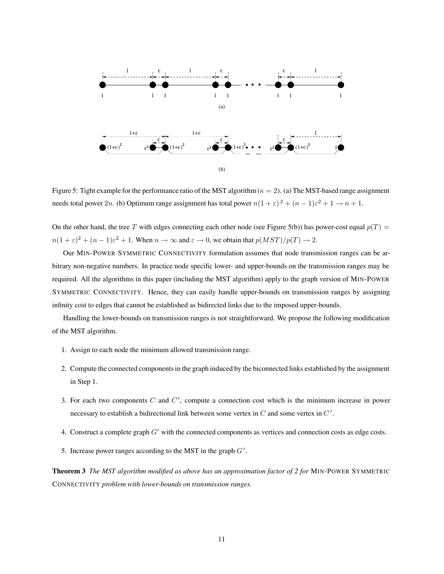

Figure 5: Tight example for the performance ratio of the MST algorithm ( $\kappa = 2$ ). (a) The MST-based range assignment needs total power 2n. (b) Optimum range assignment has total power  $n(1+\varepsilon)^2 + (n-1)\varepsilon^2 + 1 \rightarrow n+1$ .

On the other hand, the tree T with edges connecting each other node (see Figure 5(b)) has power-cost equal  $p(T)$  =  $n(1+\varepsilon)^2 + (n-1)\varepsilon^2 + 1$ . When  $n \to \infty$  and  $\varepsilon \to 0$ , we obtain that  $p(MST)/p(T) \to 2$ .

Our MIN-POWER SYMMETRIC CONNECTIVITY formulation assumes that node transmission ranges can be arbitrary non-negative numbers. In practice node specific lower- and upper-bounds on the transmission ranges may be required. All the algorithms in this paper (including the MST algorithm) apply to the graph version of MIN-POWER SYMMETRIC CONNECTIVITY. Hence, they can easily handle upper-bounds on transmission ranges by assigning infinity cost to edges that cannot be established as bidirected links due to the imposed upper-bounds.

Handling the lower-bounds on transmission ranges is not straightforward. We propose the following modification of the MST algorithm.

- 1. Assign to each node the minimum allowed transmission range.
- 2. Compute the connected components in the graph induced by the biconnected links established by the assignment in Step 1.
- 3. For each two components C and  $C'$ , compute a connection cost which is the minimum increase in power necessary to establish a bidirectional link between some vertex in  $C$  and some vertex in  $C'$ .
- 4. Construct a complete graph  $G'$  with the connected components as vertices and connection costs as edge costs.
- 5. Increase power ranges according to the MST in the graph  $G'$ .

**Theorem 3** *The MST algorithm modified as above has an approximation factor of 2 for* MIN-POWER SYMMETRIC CONNECTIVITY *problem with lower-bounds on transmission ranges.*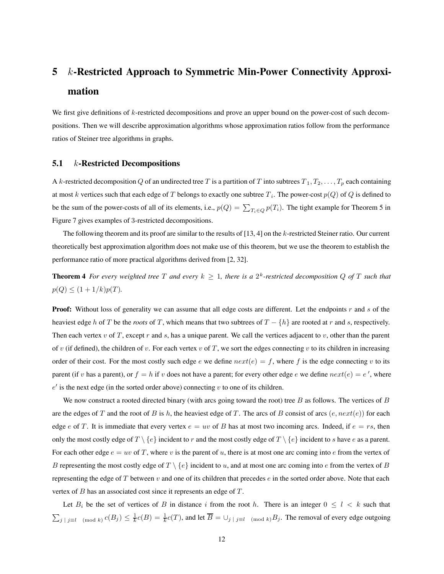# **5** *k***-Restricted Approach to Symmetric Min-Power Connectivity Approximation**

We first give definitions of k-restricted decompositions and prove an upper bound on the power-cost of such decompositions. Then we will describe approximation algorithms whose approximation ratios follow from the performance ratios of Steiner tree algorithms in graphs.

### **5.1** *k***-Restricted Decompositions**

A k-restricted decomposition Q of an undirected tree T is a partition of T into subtrees  $T_1, T_2, \ldots, T_p$  each containing at most k vertices such that each edge of T belongs to exactly one subtree  $T_i$ . The power-cost  $p(Q)$  of Q is defined to be the sum of the power-costs of all of its elements, i.e.,  $p(Q) = \sum_{T_i \in Q} p(T_i)$ . The tight example for Theorem 5 in Figure 7 gives examples of 3-restricted decompositions.

The following theorem and its proof are similar to the results of [13, 4] on the k-restricted Steiner ratio. Our current theoretically best approximation algorithm does not make use of this theorem, but we use the theorem to establish the performance ratio of more practical algorithms derived from [2, 32].

**Theorem 4** *For every weighted tree* T *and every*  $k \geq 1$ *, there is a*  $2^k$ -restricted decomposition Q of T such that  $p(Q) \leq (1 + 1/k)p(T)$ *.* 

**Proof:** Without loss of generality we can assume that all edge costs are different. Let the endpoints r and s of the heaviest edge h of T be the *roots* of T, which means that two subtrees of  $T - \{h\}$  are rooted at r and s, respectively. Then each vertex v of T, except r and s, has a unique parent. We call the vertices adjacent to v, other than the parent of v (if defined), the children of v. For each vertex v of T, we sort the edges connecting v to its children in increasing order of their cost. For the most costly such edge e we define  $next(e) = f$ , where f is the edge connecting v to its parent (if v has a parent), or  $f = h$  if v does not have a parent; for every other edge e we define  $next(e) = e'$ , where  $e'$  is the next edge (in the sorted order above) connecting v to one of its children.

We now construct a rooted directed binary (with arcs going toward the root) tree  $B$  as follows. The vertices of  $B$ are the edges of T and the root of B is h, the heaviest edge of T. The arcs of B consist of arcs  $(e, next(e))$  for each edge e of T. It is immediate that every vertex  $e = uv$  of B has at most two incoming arcs. Indeed, if  $e = rs$ , then only the most costly edge of  $T \setminus \{e\}$  incident to r and the most costly edge of  $T \setminus \{e\}$  incident to s have e as a parent. For each other edge  $e = uv$  of T, where v is the parent of u, there is at most one arc coming into e from the vertex of B representing the most costly edge of  $T \setminus \{e\}$  incident to u, and at most one arc coming into e from the vertex of B representing the edge of T between v and one of its children that precedes  $e$  in the sorted order above. Note that each vertex of  $B$  has an associated cost since it represents an edge of  $T$ .

Let  $B_i$  be the set of vertices of B in distance i from the root h. There is an integer  $0 \leq l \leq k$  such that  $\sum_{j \mid j \equiv l \pmod{k}} c(B_j) \leq \frac{1}{k}c(B) = \frac{1}{k}c(T)$ , and let  $\overline{B} = \bigcup_{j \mid j \equiv l \pmod{k}} B_j$ . The removal of every edge outgoing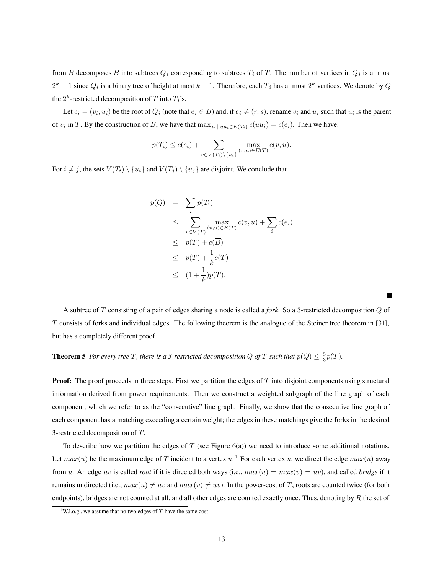from  $\overline{B}$  decomposes B into subtrees  $Q_i$  corresponding to subtrees  $T_i$  of T. The number of vertices in  $Q_i$  is at most  $2<sup>k</sup> - 1$  since  $Q<sub>i</sub>$  is a binary tree of height at most  $k - 1$ . Therefore, each  $T<sub>i</sub>$  has at most  $2<sup>k</sup>$  vertices. We denote by  $Q$ the  $2^k$ -restricted decomposition of T into  $T_i$ 's.

Let  $e_i = (v_i, u_i)$  be the root of  $Q_i$  (note that  $e_i \in \overline{B}$ ) and, if  $e_i \neq (r, s)$ , rename  $v_i$  and  $u_i$  such that  $u_i$  is the parent of  $v_i$  in T. By the construction of B, we have that  $\max_{u \mid uu_i \in E(T_i)} c(uu_i) = c(e_i)$ . Then we have:

$$
p(T_i) \le c(e_i) + \sum_{v \in V(T_i) \setminus \{u_i\}} \max_{(v,u) \in E(T)} c(v,u).
$$

For  $i \neq j$ , the sets  $V(T_i) \setminus \{u_i\}$  and  $V(T_j) \setminus \{u_i\}$  are disjoint. We conclude that

$$
p(Q) = \sum_{i} p(T_i)
$$
  
\n
$$
\leq \sum_{v \in V(T)} \max_{(v,u) \in E(T)} c(v,u) + \sum_{i} c(e_i)
$$
  
\n
$$
\leq p(T) + c(\overline{B})
$$
  
\n
$$
\leq p(T) + \frac{1}{k}c(T)
$$
  
\n
$$
\leq (1 + \frac{1}{k})p(T).
$$

A subtree of T consisting of a pair of edges sharing a node is called a *fork*. So a 3-restricted decomposition Q of T consists of forks and individual edges. The following theorem is the analogue of the Steiner tree theorem in [31], but has a completely different proof.

## **Theorem 5** For every tree T, there is a 3-restricted decomposition Q of T such that  $p(Q) \leq \frac{5}{3}p(T)$ .

**Proof:** The proof proceeds in three steps. First we partition the edges of T into disjoint components using structural information derived from power requirements. Then we construct a weighted subgraph of the line graph of each component, which we refer to as the "consecutive" line graph. Finally, we show that the consecutive line graph of each component has a matching exceeding a certain weight; the edges in these matchings give the forks in the desired 3-restricted decomposition of T .

To describe how we partition the edges of  $T$  (see Figure 6(a)) we need to introduce some additional notations. Let  $max(u)$  be the maximum edge of T incident to a vertex  $u$ .<sup>1</sup> For each vertex  $u$ , we direct the edge  $max(u)$  away from u. An edge uv is called *root* if it is directed both ways (i.e.,  $max(u) = max(v) = uv$ ), and called *bridge* if it remains undirected (i.e.,  $max(u) \neq uv$  and  $max(v) \neq uv$ ). In the power-cost of T, roots are counted twice (for both endpoints), bridges are not counted at all, and all other edges are counted exactly once. Thus, denoting by  $R$  the set of

<sup>&</sup>lt;sup>1</sup>W.l.o.g., we assume that no two edges of  $T$  have the same cost.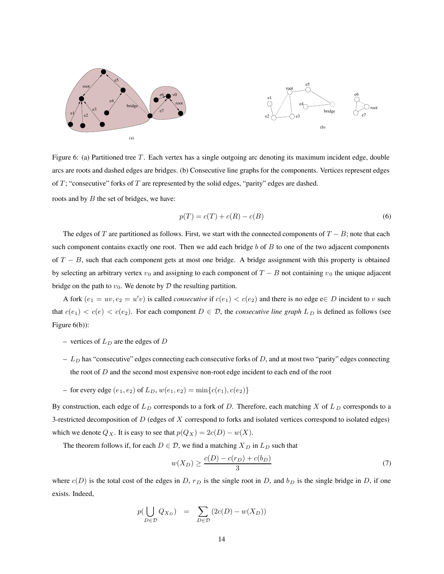

Figure 6: (a) Partitioned tree T. Each vertex has a single outgoing arc denoting its maximum incident edge, double arcs are roots and dashed edges are bridges. (b) Consecutive line graphs for the components. Vertices represent edges of T; "consecutive" forks of T are represented by the solid edges, "parity" edges are dashed.

roots and by  $B$  the set of bridges, we have:

$$
p(T) = c(T) + c(R) - c(B)
$$
\n(6)

The edges of T are partitioned as follows. First, we start with the connected components of  $T - B$ ; note that each such component contains exactly one root. Then we add each bridge  $b$  of  $B$  to one of the two adjacent components of  $T - B$ , such that each component gets at most one bridge. A bridge assignment with this property is obtained by selecting an arbitrary vertex  $v_0$  and assigning to each component of  $T - B$  not containing  $v_0$  the unique adjacent bridge on the path to  $v_0$ . We denote by  $D$  the resulting partition.

A fork  $(e_1 = uv, e_2 = u'v)$  is called *consecutive* if  $c(e_1) < c(e_2)$  and there is no edge  $e \in D$  incident to v such that  $c(e_1) < c(e) < c(e_2)$ . For each component  $D \in \mathcal{D}$ , the *consecutive line graph*  $L_D$  is defined as follows (see Figure 6(b)):

- vertices of  $L_D$  are the edges of  $D$
- $-L_D$  has "consecutive" edges connecting each consecutive forks of D, and at most two "parity" edges connecting the root of  $D$  and the second most expensive non-root edge incident to each end of the root
- for every edge  $(e_1, e_2)$  of  ${\cal L}_D, w(e_1, e_2) = \min\{c(e_1), c(e_2)\}$

By construction, each edge of  $L_D$  corresponds to a fork of D. Therefore, each matching X of  $L_D$  corresponds to a 3-restricted decomposition of  $D$  (edges of  $X$  correspond to forks and isolated vertices correspond to isolated edges) which we denote  $Q_X$ . It is easy to see that  $p(Q_X)=2c(D) - w(X)$ .

The theorem follows if, for each  $D \in \mathcal{D}$ , we find a matching  $X_D$  in  $L_D$  such that

$$
w(X_D) \ge \frac{c(D) - c(r_D) + c(b_D)}{3} \tag{7}
$$

where  $c(D)$  is the total cost of the edges in D,  $r_D$  is the single root in D, and  $b_D$  is the single bridge in D, if one exists. Indeed,

$$
p(\bigcup_{D \in \mathcal{D}} Q_{X_D}) = \sum_{D \in \mathcal{D}} (2c(D) - w(X_D))
$$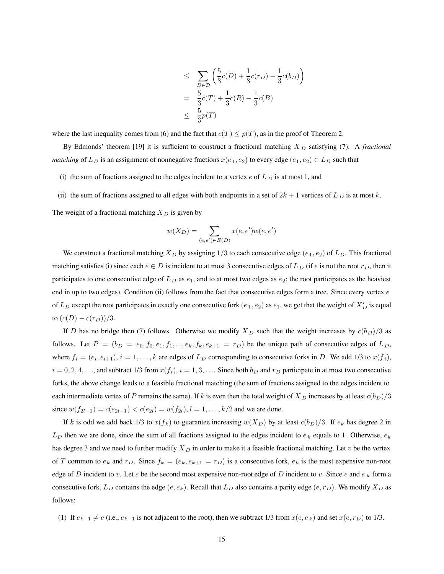$$
\leq \sum_{D \in \mathcal{D}} \left( \frac{5}{3}c(D) + \frac{1}{3}c(r_D) - \frac{1}{3}c(b_D) \right)
$$
  
=  $\frac{5}{3}c(T) + \frac{1}{3}c(R) - \frac{1}{3}c(B)$   
 $\leq \frac{5}{3}p(T)$ 

Ĭ where the last inequality comes from (6) and the fact that  $c(T) \leq p(T)$ , as in the proof of Theorem 2.

By Edmonds' theorem [19] it is sufficient to construct a fractional matching  $X_D$  satisfying (7). A *fractional matching* of  $L_D$  is an assignment of nonnegative fractions  $x(e_1, e_2)$  to every edge  $(e_1, e_2) \in L_D$  such that

- (i) the sum of fractions assigned to the edges incident to a vertex  $e$  of  $L<sub>D</sub>$  is at most 1, and
- (ii) the sum of fractions assigned to all edges with both endpoints in a set of  $2k + 1$  vertices of  $L<sub>D</sub>$  is at most k.

The weight of a fractional matching  $X_D$  is given by

$$
w(X_D) = \sum_{(e,e') \in E(D)} x(e,e')w(e,e')
$$

We construct a fractional matching  $X_D$  by assigning 1/3 to each consecutive edge (e<sub>1</sub>, e<sub>2</sub>) of  $L_D$ . This fractional matching satisfies (i) since each  $e \in D$  is incident to at most 3 consecutive edges of  $L_D$  (if e is not the root  $r_D$ , then it participates to one consecutive edge of  $L<sub>D</sub>$  as  $e<sub>1</sub>$ , and to at most two edges as  $e<sub>2</sub>$ ; the root participates as the heaviest end in up to two edges). Condition (ii) follows from the fact that consecutive edges form a tree. Since every vertex  $e$ of  $L_D$  except the root participates in exactly one consecutive fork  $(e_1, e_2)$  as  $e_1$ , we get that the weight of  $X'_D$  is equal to  $(c(D) - c(r_D))/3$ .

If D has no bridge then (7) follows. Otherwise we modify  $X_D$  such that the weight increases by  $c(b_D)/3$  as follows. Let  $P = (b_D = e_0, f_0, e_1, f_1, ..., e_k, f_k, e_{k+1} = r_D)$  be the unique path of consecutive edges of  $L_D$ , where  $f_i = (e_i, e_{i+1}), i = 1, \ldots, k$  are edges of  $L_D$  corresponding to consecutive forks in D. We add 1/3 to  $x(f_i)$ ,  $i = 0, 2, 4, \ldots$ , and subtract 1/3 from  $x(f_i)$ ,  $i = 1, 3, \ldots$  Since both  $b_D$  and  $r_D$  participate in at most two consecutive forks, the above change leads to a feasible fractional matching (the sum of fractions assigned to the edges incident to each intermediate vertex of P remains the same). If k is even then the total weight of X  $_D$  increases by at least  $c(b_D)/3$ since  $w(f_{2l-1}) = c(e_{2l-1}) < c(e_{2l}) = w(f_{2l}), l = 1, ..., k/2$  and we are done.

If k is odd we add back 1/3 to  $x(f_k)$  to guarantee increasing  $w(X_D)$  by at least  $c(b_D)/3$ . If  $e_k$  has degree 2 in  $L_D$  then we are done, since the sum of all fractions assigned to the edges incident to  $e_k$  equals to 1. Otherwise,  $e_k$ has degree 3 and we need to further modify  $X_D$  in order to make it a feasible fractional matching. Let v be the vertex of T common to  $e_k$  and  $r_D$ . Since  $f_k = (e_k, e_{k+1} = r_D)$  is a consecutive fork,  $e_k$  is the most expensive non-root edge of D incident to v. Let e be the second most expensive non-root edge of D incident to v. Since e and  $e_k$  form a consecutive fork,  $L_D$  contains the edge  $(e, e_k)$ . Recall that  $L_D$  also contains a parity edge  $(e, r_D)$ . We modify  $X_D$  as follows:

(1) If  $e_{k-1} \neq e$  (i.e.,  $e_{k-1}$  is not adjacent to the root), then we subtract 1/3 from  $x(e, e_k)$  and set  $x(e, r_D)$  to 1/3.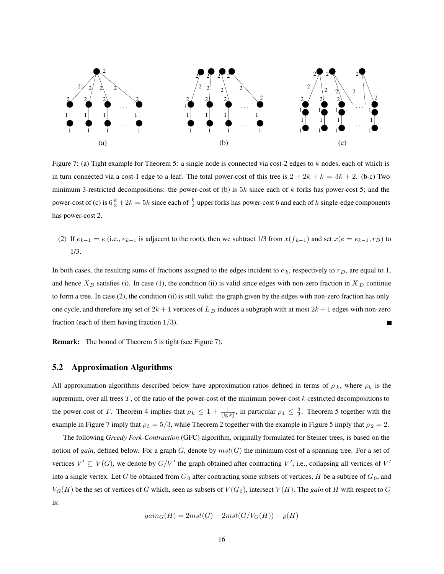

Figure 7: (a) Tight example for Theorem 5: a single node is connected via cost-2 edges to  $k$  nodes, each of which is in turn connected via a cost-1 edge to a leaf. The total power-cost of this tree is  $2 + 2k + k = 3k + 2$ . (b-c) Two minimum 3-restricted decompositions: the power-cost of (b) is  $5k$  since each of k forks has power-cost 5; and the power-cost of (c) is  $6\frac{k}{2} + 2k = 5k$  since each of  $\frac{k}{2}$  upper forks has power-cost 6 and each of k single-edge components has power-cost 2.

(2) If  $e_{k-1} = e$  (i.e.,  $e_{k-1}$  is adjacent to the root), then we subtract 1/3 from  $x(f_{k-1})$  and set  $x(e = e_{k-1}, r_D)$  to 1/3.

In both cases, the resulting sums of fractions assigned to the edges incident to  $e_k$ , respectively to  $r_D$ , are equal to 1, and hence  $X_D$  satisfies (i). In case (1), the condition (ii) is valid since edges with non-zero fraction in  $X_D$  continue to form a tree. In case (2), the condition (ii) is still valid: the graph given by the edges with non-zero fraction has only one cycle, and therefore any set of  $2k + 1$  vertices of  $L<sub>D</sub>$  induces a subgraph with at most  $2k + 1$  edges with non-zero fraction (each of them having fraction  $1/3$ ).

**Remark:** The bound of Theorem 5 is tight (see Figure 7).

### **5.2 Approximation Algorithms**

All approximation algorithms described below have approximation ratios defined in terms of  $\rho_k$ , where  $\rho_k$  is the supremum, over all trees  $T$ , of the ratio of the power-cost of the minimum power-cost  $k$ -restricted decompositions to the power-cost of T. Theorem 4 implies that  $\rho_k \leq 1 + \frac{1}{\lfloor \lg k \rfloor}$ , in particular  $\rho_4 \leq \frac{3}{2}$ . Theorem 5 together with the example in Figure 7 imply that  $\rho_3 = 5/3$ , while Theorem 2 together with the example in Figure 5 imply that  $\rho_2 = 2$ .

The following *Greedy Fork-Contraction* (GFC) algorithm, originally formulated for Steiner trees, is based on the notion of *gain*, defined below. For a graph G, denote by mst(G) the minimum cost of a spanning tree. For a set of vertices  $V' \subseteq V(G)$ , we denote by  $G/V'$  the graph obtained after contracting V', i.e., collapsing all vertices of V' into a single vertex. Let G be obtained from  $G_0$  after contracting some subsets of vertices, H be a subtree of  $G_0$ , and  $V_G(H)$  be the set of vertices of G which, seen as subsets of  $V(G_0)$ , intersect  $V(H)$ . The *gain* of H with respect to G is:

$$
gain_G(H) = 2mst(G) - 2mst(G/V_G(H)) - p(H)
$$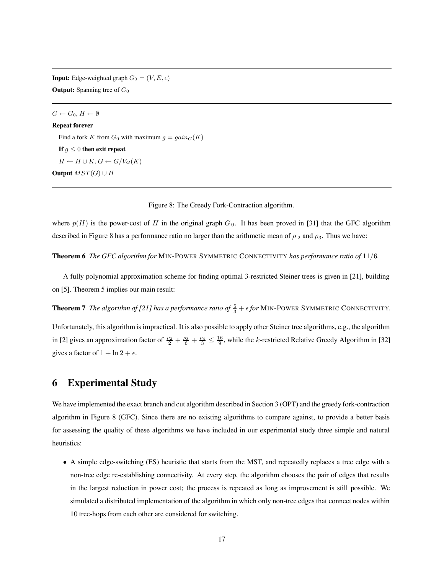**Input:** Edge-weighted graph  $G_0 = (V, E, c)$ **Output:** Spanning tree of *<sup>G</sup>*<sup>0</sup>

 $G \leftarrow G_0, H \leftarrow \emptyset$ **Repeat forever** Find a fork *K* from  $G_0$  with maximum  $g = gain_G(K)$ **If**  $g \leq 0$  **then exit repeat** *H* ← *H* ∪ *K*, *G* ← *G*/*V<sub>G</sub>*(*K*) **Output**  $MST(G) \cup H$ 

Figure 8: The Greedy Fork-Contraction algorithm.

where  $p(H)$  is the power-cost of H in the original graph  $G_0$ . It has been proved in [31] that the GFC algorithm described in Figure 8 has a performance ratio no larger than the arithmetic mean of  $\rho_2$  and  $\rho_3$ . Thus we have:

**Theorem 6** *The GFC algorithm for* MIN-POWER SYMMETRIC CONNECTIVITY *has performance ratio of* <sup>11</sup>/6*.*

A fully polynomial approximation scheme for finding optimal 3-restricted Steiner trees is given in [21], building on [5]. Theorem 5 implies our main result:

**Theorem 7** *The algorithm of [21] has a performance ratio of*  $\frac{5}{3} + \epsilon$  *for* MIN-POWER SYMMETRIC CONNECTIVITY.

Unfortunately, this algorithm is impractical. It is also possible to apply other Steiner tree algorithms, e.g., the algorithm in [2] gives an approximation factor of  $\frac{\rho_2}{2} + \frac{\rho_3}{6} + \frac{\rho_4}{3} \le \frac{16}{9}$ , while the k-restricted Relative Greedy Algorithm in [32] gives a factor of  $1 + \ln 2 + \epsilon$ .

## **6 Experimental Study**

We have implemented the exact branch and cut algorithm described in Section 3 (OPT) and the greedy fork-contraction algorithm in Figure 8 (GFC). Since there are no existing algorithms to compare against, to provide a better basis for assessing the quality of these algorithms we have included in our experimental study three simple and natural heuristics:

• A simple edge-switching (ES) heuristic that starts from the MST, and repeatedly replaces a tree edge with a non-tree edge re-establishing connectivity. At every step, the algorithm chooses the pair of edges that results in the largest reduction in power cost; the process is repeated as long as improvement is still possible. We simulated a distributed implementation of the algorithm in which only non-tree edges that connect nodes within 10 tree-hops from each other are considered for switching.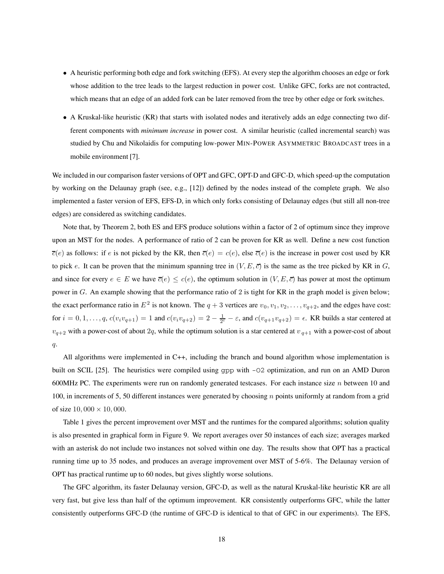- A heuristic performing both edge and fork switching (EFS). At every step the algorithm chooses an edge or fork whose addition to the tree leads to the largest reduction in power cost. Unlike GFC, forks are not contracted, which means that an edge of an added fork can be later removed from the tree by other edge or fork switches.
- A Kruskal-like heuristic (KR) that starts with isolated nodes and iteratively adds an edge connecting two different components with *minimum increase* in power cost. A similar heuristic (called incremental search) was studied by Chu and Nikolaidis for computing low-power MIN-POWER ASYMMETRIC BROADCAST trees in a mobile environment [7].

We included in our comparison faster versions of OPT and GFC, OPT-D and GFC-D, which speed-up the computation by working on the Delaunay graph (see, e.g., [12]) defined by the nodes instead of the complete graph. We also implemented a faster version of EFS, EFS-D, in which only forks consisting of Delaunay edges (but still all non-tree edges) are considered as switching candidates.

Note that, by Theorem 2, both ES and EFS produce solutions within a factor of 2 of optimum since they improve upon an MST for the nodes. A performance of ratio of 2 can be proven for KR as well. Define a new cost function  $\overline{c}(e)$  as follows: if e is not picked by the KR, then  $\overline{c}(e) = c(e)$ , else  $\overline{c}(e)$  is the increase in power cost used by KR to pick e. It can be proven that the minimum spanning tree in  $(V, E, \bar{c})$  is the same as the tree picked by KR in G, and since for every  $e \in E$  we have  $\overline{c}(e) \leq c(e)$ , the optimum solution in  $(V, E, \overline{c})$  has power at most the optimum power in G. An example showing that the performance ratio of 2 is tight for KR in the graph model is given below; the exact performance ratio in  $E^2$  is not known. The  $q + 3$  vertices are  $v_0, v_1, v_2, \ldots, v_{q+2}$ , and the edges have cost: for  $i = 0, 1, \ldots, q$ ,  $c(v_i v_{q+1}) = 1$  and  $c(v_i v_{q+2}) = 2 - \frac{1}{2^i} - \varepsilon$ , and  $c(v_{q+1}v_{q+2}) = \epsilon$ . KR builds a star centered at  $v_{q+2}$  with a power-cost of about 2q, while the optimum solution is a star centered at  $v_{q+1}$  with a power-cost of about q.

All algorithms were implemented in C++, including the branch and bound algorithm whose implementation is built on SCIL [25]. The heuristics were compiled using gpp with -02 optimization, and run on an AMD Duron 600MHz PC. The experiments were run on randomly generated testcases. For each instance size  $n$  between 10 and 100, in increments of 5, 50 different instances were generated by choosing  $n$  points uniformly at random from a grid of size  $10,000 \times 10,000$ .

Table 1 gives the percent improvement over MST and the runtimes for the compared algorithms; solution quality is also presented in graphical form in Figure 9. We report averages over 50 instances of each size; averages marked with an asterisk do not include two instances not solved within one day. The results show that OPT has a practical running time up to 35 nodes, and produces an average improvement over MST of 5-6%. The Delaunay version of OPT has practical runtime up to 60 nodes, but gives slightly worse solutions.

The GFC algorithm, its faster Delaunay version, GFC-D, as well as the natural Kruskal-like heuristic KR are all very fast, but give less than half of the optimum improvement. KR consistently outperforms GFC, while the latter consistently outperforms GFC-D (the runtime of GFC-D is identical to that of GFC in our experiments). The EFS,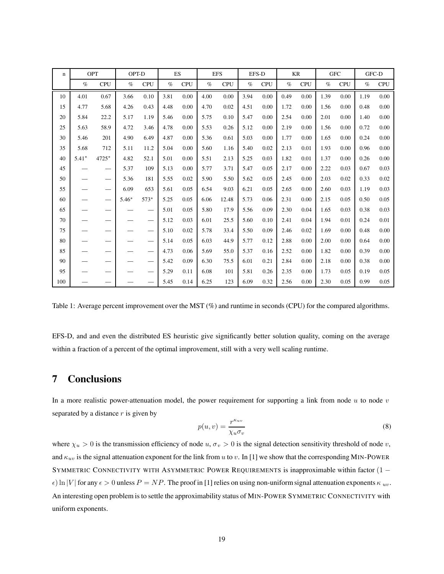| $\mathbf n$ | OPT                      |                                | OPT-D   |            | ES   |            | <b>EFS</b> |            | EFS-D |            | KR   |            | <b>GFC</b> |            | GFC-D |            |
|-------------|--------------------------|--------------------------------|---------|------------|------|------------|------------|------------|-------|------------|------|------------|------------|------------|-------|------------|
|             | $\%$                     | <b>CPU</b>                     | $\%$    | <b>CPU</b> | $\%$ | <b>CPU</b> | $\%$       | <b>CPU</b> | $\%$  | <b>CPU</b> | $\%$ | <b>CPU</b> | $\%$       | <b>CPU</b> | $\%$  | <b>CPU</b> |
| 10          | 4.01                     | 0.67                           | 3.66    | 0.10       | 3.81 | 0.00       | 4.00       | 0.00       | 3.94  | 0.00       | 0.49 | 0.00       | 1.39       | 0.00       | 1.19  | 0.00       |
| 15          | 4.77                     | 5.68                           | 4.26    | 0.43       | 4.48 | 0.00       | 4.70       | 0.02       | 4.51  | 0.00       | 1.72 | 0.00       | 1.56       | 0.00       | 0.48  | 0.00       |
| 20          | 5.84                     | 22.2                           | 5.17    | 1.19       | 5.46 | 0.00       | 5.75       | 0.10       | 5.47  | 0.00       | 2.54 | 0.00       | 2.01       | 0.00       | 1.40  | 0.00       |
| 25          | 5.63                     | 58.9                           | 4.72    | 3.46       | 4.78 | 0.00       | 5.53       | 0.26       | 5.12  | 0.00       | 2.19 | 0.00       | 1.56       | 0.00       | 0.72  | 0.00       |
| 30          | 5.46                     | 201                            | 4.90    | 6.49       | 4.87 | 0.00       | 5.36       | 0.61       | 5.03  | 0.00       | 1.77 | 0.00       | 1.65       | 0.00       | 0.24  | 0.00       |
| 35          | 5.68                     | 712                            | 5.11    | 11.2       | 5.04 | 0.00       | 5.60       | 1.16       | 5.40  | 0.02       | 2.13 | 0.01       | 1.93       | 0.00       | 0.96  | 0.00       |
| 40          | $5.41*$                  | 4725*                          | 4.82    | 52.1       | 5.01 | 0.00       | 5.51       | 2.13       | 5.25  | 0.03       | 1.82 | 0.01       | 1.37       | 0.00       | 0.26  | 0.00       |
| 45          |                          | —                              | 5.37    | 109        | 5.13 | 0.00       | 5.77       | 3.71       | 5.47  | 0.05       | 2.17 | 0.00       | 2.22       | 0.03       | 0.67  | 0.03       |
| 50          |                          | —                              | 5.36    | 181        | 5.55 | 0.02       | 5.90       | 5.50       | 5.62  | 0.05       | 2.45 | 0.00       | 2.03       | 0.02       | 0.33  | 0.02       |
| 55          |                          |                                | 6.09    | 653        | 5.61 | 0.05       | 6.54       | 9.03       | 6.21  | 0.05       | 2.65 | 0.00       | 2.60       | 0.03       | 1.19  | 0.03       |
| 60          |                          | —                              | $5.46*$ | 573*       | 5.25 | 0.05       | 6.06       | 12.48      | 5.73  | 0.06       | 2.31 | 0.00       | 2.15       | 0.05       | 0.50  | 0.05       |
| 65          | $\overline{\phantom{0}}$ | $\qquad \qquad \longleftarrow$ |         |            | 5.01 | 0.05       | 5.80       | 17.9       | 5.56  | 0.09       | 2.30 | 0.04       | 1.65       | 0.03       | 0.38  | 0.03       |
| 70          | —                        | —                              |         | —          | 5.12 | 0.03       | 6.01       | 25.5       | 5.60  | 0.10       | 2.41 | 0.04       | 1.94       | 0.01       | 0.24  | 0.01       |
| 75          |                          | --                             |         | —          | 5.10 | 0.02       | 5.78       | 33.4       | 5.50  | 0.09       | 2.46 | 0.02       | 1.69       | 0.00       | 0.48  | 0.00       |
| 80          |                          |                                |         |            | 5.14 | 0.05       | 6.03       | 44.9       | 5.77  | 0.12       | 2.88 | 0.00       | 2.00       | 0.00       | 0.64  | 0.00       |
| 85          |                          |                                |         |            | 4.73 | 0.06       | 5.69       | 55.0       | 5.37  | 0.16       | 2.52 | 0.00       | 1.82       | 0.00       | 0.39  | 0.00       |
| 90          |                          |                                |         |            | 5.42 | 0.09       | 6.30       | 75.5       | 6.01  | 0.21       | 2.84 | 0.00       | 2.18       | 0.00       | 0.38  | 0.00       |
| 95          |                          |                                |         |            | 5.29 | 0.11       | 6.08       | 101        | 5.81  | 0.26       | 2.35 | 0.00       | 1.73       | 0.05       | 0.19  | 0.05       |
| 100         |                          |                                |         |            | 5.45 | 0.14       | 6.25       | 123        | 6.09  | 0.32       | 2.56 | 0.00       | 2.30       | 0.05       | 0.99  | 0.05       |

Table 1: Average percent improvement over the MST (%) and runtime in seconds (CPU) for the compared algorithms.

EFS-D, and and even the distributed ES heuristic give significantly better solution quality, coming on the average within a fraction of a percent of the optimal improvement, still with a very well scaling runtime.

## **7 Conclusions**

In a more realistic power-attenuation model, the power requirement for supporting a link from node  $u$  to node  $v$ separated by a distance  $r$  is given by

$$
p(u,v) = \frac{r^{\kappa_{uv}}}{\chi_u \sigma_v} \tag{8}
$$

where  $\chi_u > 0$  is the transmission efficiency of node  $u, \sigma_v > 0$  is the signal detection sensitivity threshold of node v, and  $\kappa_{uv}$  is the signal attenuation exponent for the link from u to v. In [1] we show that the corresponding MIN-POWER SYMMETRIC CONNECTIVITY WITH ASYMMETRIC POWER REQUIREMENTS is inapproximable within factor (1 <sup>−</sup>  $\epsilon$ ) ln |V| for any  $\epsilon > 0$  unless  $P = NP$ . The proof in [1] relies on using non-uniform signal attenuation exponents  $\kappa_{uv}$ . An interesting open problem is to settle the approximability status of MIN-POWER SYMMETRIC CONNECTIVITY with uniform exponents.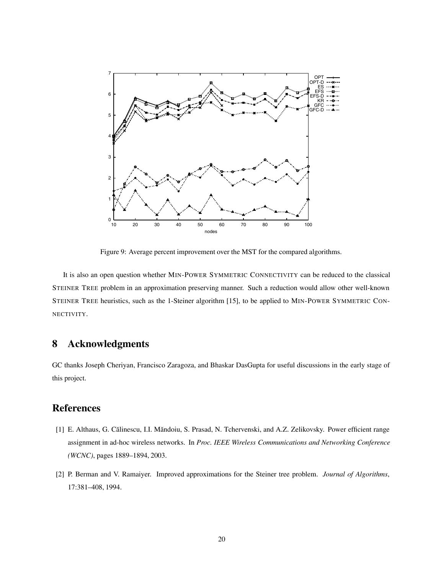

Figure 9: Average percent improvement over the MST for the compared algorithms.

It is also an open question whether MIN-POWER SYMMETRIC CONNECTIVITY can be reduced to the classical STEINER TREE problem in an approximation preserving manner. Such a reduction would allow other well-known STEINER TREE heuristics, such as the 1-Steiner algorithm [15], to be applied to MIN-POWER SYMMETRIC CON-NECTIVITY.

## **8 Acknowledgments**

GC thanks Joseph Cheriyan, Francisco Zaragoza, and Bhaskar DasGupta for useful discussions in the early stage of this project.

## **References**

- [1] E. Althaus, G. Călinescu, I.I. Măndoiu, S. Prasad, N. Tchervenski, and A.Z. Zelikovsky. Power efficient range assignment in ad-hoc wireless networks. In *Proc. IEEE Wireless Communications and Networking Conference (WCNC)*, pages 1889–1894, 2003.
- [2] P. Berman and V. Ramaiyer. Improved approximations for the Steiner tree problem. *Journal of Algorithms*, 17:381–408, 1994.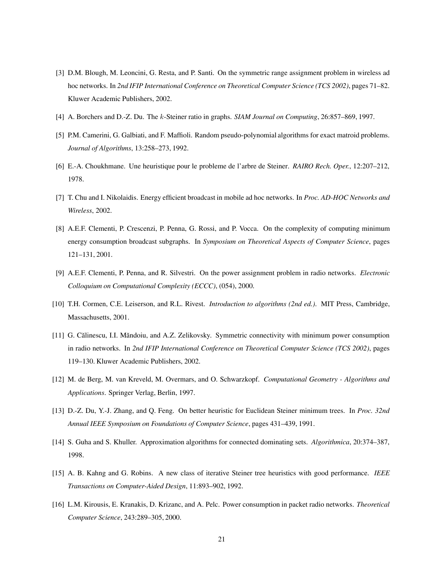- [3] D.M. Blough, M. Leoncini, G. Resta, and P. Santi. On the symmetric range assignment problem in wireless ad hoc networks. In *2nd IFIP International Conference on Theoretical Computer Science (TCS 2002)*, pages 71–82. Kluwer Academic Publishers, 2002.
- [4] A. Borchers and D.-Z. Du. The k-Steiner ratio in graphs. *SIAM Journal on Computing*, 26:857–869, 1997.
- [5] P.M. Camerini, G. Galbiati, and F. Maffioli. Random pseudo-polynomial algorithms for exact matroid problems. *Journal of Algorithms*, 13:258–273, 1992.
- [6] E.-A. Choukhmane. Une heuristique pour le probleme de l'arbre de Steiner. *RAIRO Rech. Oper.*, 12:207–212, 1978.
- [7] T. Chu and I. Nikolaidis. Energy efficient broadcast in mobile ad hoc networks. In *Proc. AD-HOC Networks and Wireless*, 2002.
- [8] A.E.F. Clementi, P. Crescenzi, P. Penna, G. Rossi, and P. Vocca. On the complexity of computing minimum energy consumption broadcast subgraphs. In *Symposium on Theoretical Aspects of Computer Science*, pages 121–131, 2001.
- [9] A.E.F. Clementi, P. Penna, and R. Silvestri. On the power assignment problem in radio networks. *Electronic Colloquium on Computational Complexity (ECCC)*, (054), 2000.
- [10] T.H. Cormen, C.E. Leiserson, and R.L. Rivest. *Introduction to algorithms (2nd ed.)*. MIT Press, Cambridge, Massachusetts, 2001.
- [11] G. Călinescu, I.I. Măndoiu, and A.Z. Zelikovsky. Symmetric connectivity with minimum power consumption in radio networks. In *2nd IFIP International Conference on Theoretical Computer Science (TCS 2002)*, pages 119–130. Kluwer Academic Publishers, 2002.
- [12] M. de Berg, M. van Kreveld, M. Overmars, and O. Schwarzkopf. *Computational Geometry Algorithms and Applications*. Springer Verlag, Berlin, 1997.
- [13] D.-Z. Du, Y.-J. Zhang, and Q. Feng. On better heuristic for Euclidean Steiner minimum trees. In *Proc. 32nd Annual IEEE Symposium on Foundations of Computer Science*, pages 431–439, 1991.
- [14] S. Guha and S. Khuller. Approximation algorithms for connected dominating sets. *Algorithmica*, 20:374–387, 1998.
- [15] A. B. Kahng and G. Robins. A new class of iterative Steiner tree heuristics with good performance. *IEEE Transactions on Computer-Aided Design*, 11:893–902, 1992.
- [16] L.M. Kirousis, E. Kranakis, D. Krizanc, and A. Pelc. Power consumption in packet radio networks. *Theoretical Computer Science*, 243:289–305, 2000.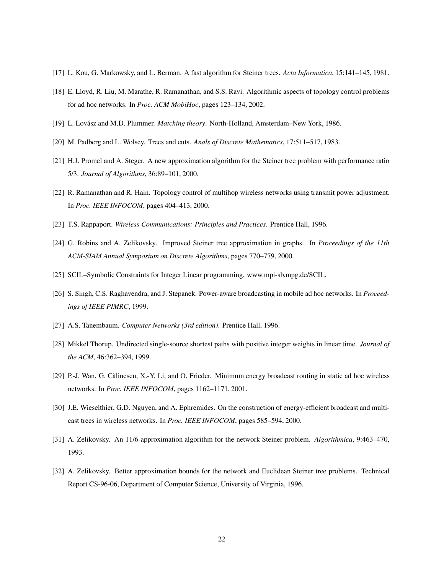- [17] L. Kou, G. Markowsky, and L. Berman. A fast algorithm for Steiner trees. *Acta Informatica*, 15:141–145, 1981.
- [18] E. Lloyd, R. Liu, M. Marathe, R. Ramanathan, and S.S. Ravi. Algorithmic aspects of topology control problems for ad hoc networks. In *Proc. ACM MobiHoc*, pages 123–134, 2002.
- [19] L. Lov´asz and M.D. Plummer. *Matching theory*. North-Holland, Amsterdam–New York, 1986.
- [20] M. Padberg and L. Wolsey. Trees and cuts. *Anals of Discrete Mathematics*, 17:511–517, 1983.
- [21] H.J. Promel and A. Steger. A new approximation algorithm for the Steiner tree problem with performance ratio 5/3. *Journal of Algorithms*, 36:89–101, 2000.
- [22] R. Ramanathan and R. Hain. Topology control of multihop wireless networks using transmit power adjustment. In *Proc. IEEE INFOCOM*, pages 404–413, 2000.
- [23] T.S. Rappaport. *Wireless Communications: Principles and Practices*. Prentice Hall, 1996.
- [24] G. Robins and A. Zelikovsky. Improved Steiner tree approximation in graphs. In *Proceedings of the 11th ACM-SIAM Annual Symposium on Discrete Algorithms*, pages 770–779, 2000.
- [25] SCIL–Symbolic Constraints for Integer Linear programming. www.mpi-sb.mpg.de/SCIL.
- [26] S. Singh, C.S. Raghavendra, and J. Stepanek. Power-aware broadcasting in mobile ad hoc networks. In *Proceedings of IEEE PIMRC*, 1999.
- [27] A.S. Tanembaum. *Computer Networks (3rd edition)*. Prentice Hall, 1996.
- [28] Mikkel Thorup. Undirected single-source shortest paths with positive integer weights in linear time. *Journal of the ACM*, 46:362–394, 1999.
- [29] P.-J. Wan, G. Călinescu, X.-Y. Li, and O. Frieder. Minimum energy broadcast routing in static ad hoc wireless networks. In *Proc. IEEE INFOCOM*, pages 1162–1171, 2001.
- [30] J.E. Wieselthier, G.D. Nguyen, and A. Ephremides. On the construction of energy-efficient broadcast and multicast trees in wireless networks. In *Proc. IEEE INFOCOM*, pages 585–594, 2000.
- [31] A. Zelikovsky. An 11/6-approximation algorithm for the network Steiner problem. *Algorithmica*, 9:463–470, 1993.
- [32] A. Zelikovsky. Better approximation bounds for the network and Euclidean Steiner tree problems. Technical Report CS-96-06, Department of Computer Science, University of Virginia, 1996.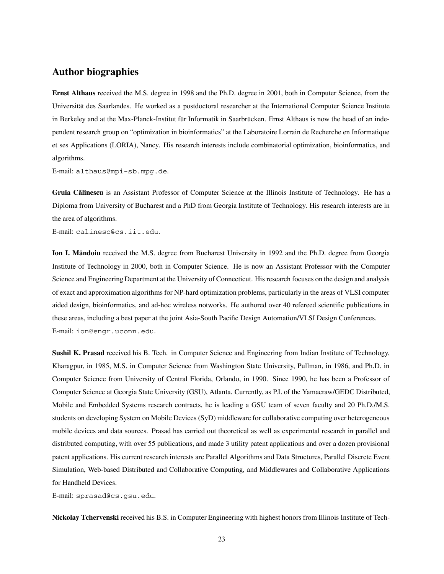## **Author biographies**

**Ernst Althaus** received the M.S. degree in 1998 and the Ph.D. degree in 2001, both in Computer Science, from the Universität des Saarlandes. He worked as a postdoctoral researcher at the International Computer Science Institute in Berkeley and at the Max-Planck-Institut für Informatik in Saarbrücken. Ernst Althaus is now the head of an independent research group on "optimization in bioinformatics" at the Laboratoire Lorrain de Recherche en Informatique et ses Applications (LORIA), Nancy. His research interests include combinatorial optimization, bioinformatics, and algorithms.

E-mail: althaus@mpi-sb.mpg.de.

**Gruia Călinescu** is an Assistant Professor of Computer Science at the Illinois Institute of Technology. He has a Diploma from University of Bucharest and a PhD from Georgia Institute of Technology. His research interests are in the area of algorithms.

E-mail: calinesc@cs.iit.edu.

Ion I. Mandoiu received the M.S. degree from Bucharest University in 1992 and the Ph.D. degree from Georgia Institute of Technology in 2000, both in Computer Science. He is now an Assistant Professor with the Computer Science and Engineering Department at the University of Connecticut. His research focuses on the design and analysis of exact and approximation algorithms for NP-hard optimization problems, particularly in the areas of VLSI computer aided design, bioinformatics, and ad-hoc wireless notworks. He authored over 40 refereed scientific publications in these areas, including a best paper at the joint Asia-South Pacific Design Automation/VLSI Design Conferences. E-mail: ion@engr.uconn.edu.

**Sushil K. Prasad** received his B. Tech. in Computer Science and Engineering from Indian Institute of Technology, Kharagpur, in 1985, M.S. in Computer Science from Washington State University, Pullman, in 1986, and Ph.D. in Computer Science from University of Central Florida, Orlando, in 1990. Since 1990, he has been a Professor of Computer Science at Georgia State University (GSU), Atlanta. Currently, as P.I. of the Yamacraw/GEDC Distributed, Mobile and Embedded Systems research contracts, he is leading a GSU team of seven faculty and 20 Ph.D./M.S. students on developing System on Mobile Devices (SyD) middleware for collaborative computing over heterogeneous mobile devices and data sources. Prasad has carried out theoretical as well as experimental research in parallel and distributed computing, with over 55 publications, and made 3 utility patent applications and over a dozen provisional patent applications. His current research interests are Parallel Algorithms and Data Structures, Parallel Discrete Event Simulation, Web-based Distributed and Collaborative Computing, and Middlewares and Collaborative Applications for Handheld Devices.

E-mail: sprasad@cs.gsu.edu.

**Nickolay Tchervenski** received his B.S. in Computer Engineering with highest honors from Illinois Institute of Tech-